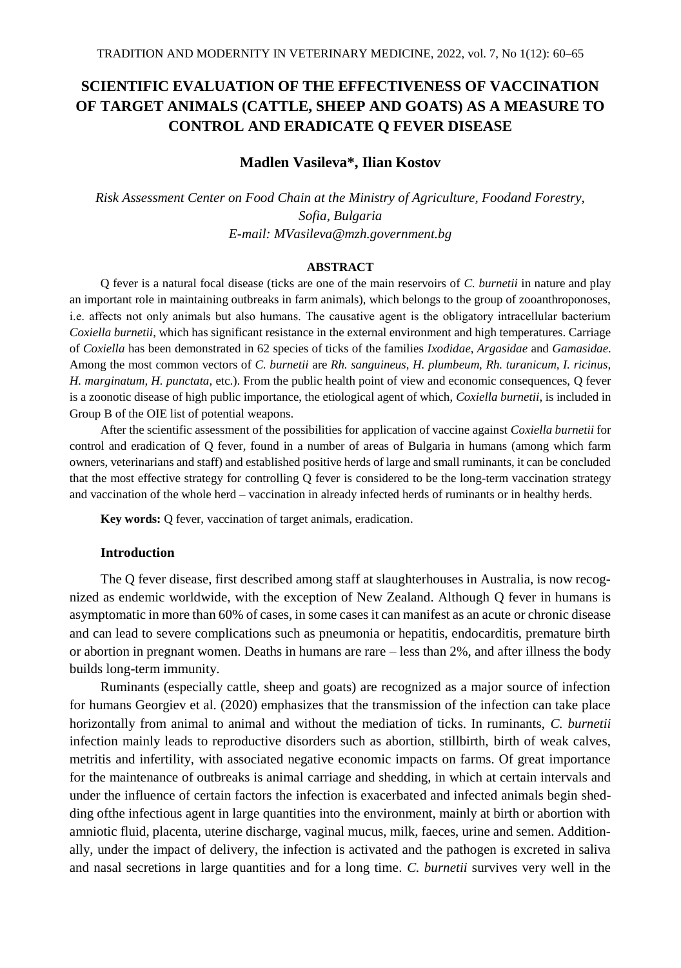# **SCIENTIFIC EVALUATION OF THE EFFECTIVENESS OF VACCINATION OF TARGET ANIMALS (CATTLE, SHEEP AND GOATS) AS A MEASURE TO CONTROL AND ERADICATE Q FEVER DISEASE**

# **Madlen Vasileva\*, Ilian Kostov**

*Risk Assessment Center on Food Chain at the Ministry of Agriculture, Foodand Forestry, Sofia, Bulgaria E-mail: MVasileva@mzh.government.bg*

### **ABSTRACT**

Q fever is a natural focal disease (ticks are one of the main reservoirs of *C. burnetii* in nature and play an important role in maintaining outbreaks in farm animals), which belongs to the group of zooanthroponoses, i.е. affects not only animals but also humans. The causative agent is the obligatory intracellular bacterium *Coxiella burnetii*, which has significant resistance in the external environment and high temperatures. Carriage of *Coxiella* has been demonstrated in 62 species of ticks of the families *Ixodidae*, *Argasidae* and *Gamasidae*. Among the most common vectors of *C. burnetii* are *Rh. sanguineus, H. plumbeum, Rh. turanicum, I. ricinus, H. marginatum, H. punctata,* etc.). From the public health point of view and economic consequences, Q fever is a zoonotic disease of high public importance, the etiological agent of which, *Coxiella burnetii*, is included in Group B of the OIE list of potential weapons.

After the scientific assessment of the possibilities for application of vaccine against *Coxiella burnetii* for control and eradication of Q fever, found in a number of areas of Bulgaria in humans (among which farm owners, veterinarians and staff) and established positive herds of large and small ruminants, it can be concluded that the most effective strategy for controlling Q fever is considered to be the long-term vaccination strategy and vaccination of the whole herd – vaccination in already infected herds of ruminants or in healthy herds.

**Key words:** Q fever, vaccination of target animals, eradication.

# **Introduction**

The Q fever disease, first described among staff at slaughterhouses in Australia, is now recognized as endemic worldwide, with the exception of New Zealand. Although Q fever in humans is asymptomatic in more than 60% of cases, in some cases it can manifest as an acute or chronic disease and can lead to severe complications such as pneumonia or hepatitis, endocarditis, premature birth or abortion in pregnant women. Deaths in humans are rare – less than 2%, and after illness the body builds long-term immunity.

Ruminants (especially cattle, sheep and goats) are recognized as a major source of infection for humans Georgiev et al. (2020) emphasizes that the transmission of the infection can take place horizontally from animal to animal and without the mediation of ticks. In ruminants, *C. burnetii* infection mainly leads to reproductive disorders such as abortion, stillbirth, birth of weak calves, metritis and infertility, with associated negative economic impacts on farms. Of great importance for the maintenance of outbreaks is animal carriage and shedding, in which at certain intervals and under the influence of certain factors the infection is exacerbated and infected animals begin shedding ofthe infectious agent in large quantities into the environment, mainly at birth or abortion with amniotic fluid, placenta, uterine discharge, vaginal mucus, milk, faeces, urine and semen. Additionally, under the impact of delivery, the infection is activated and the pathogen is excreted in saliva and nasal secretions in large quantities and for a long time. *C. burnetii* survives very well in the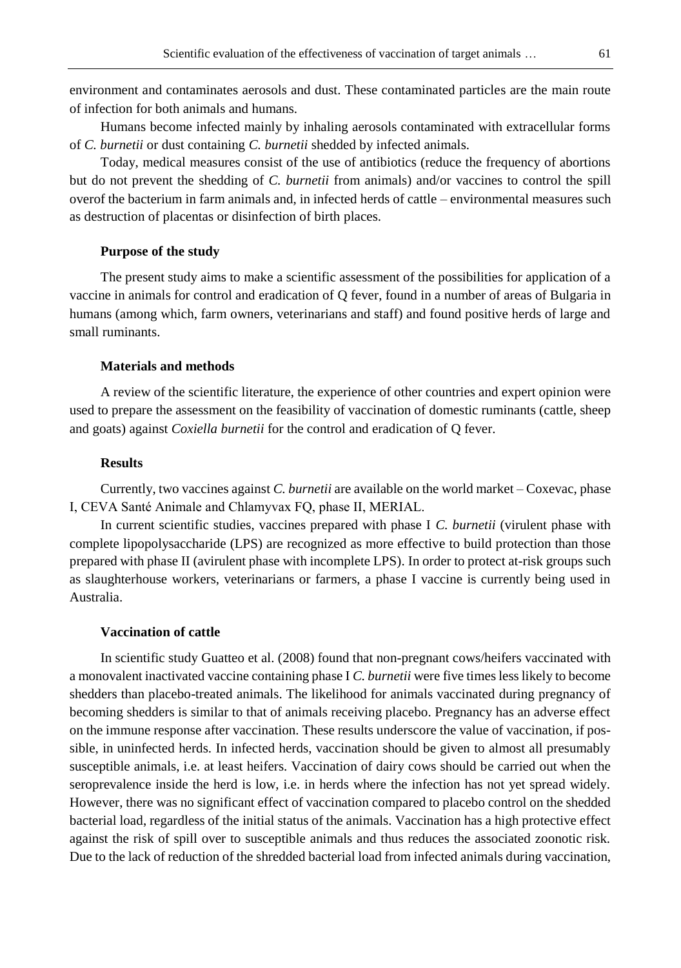environment and contaminates aerosols and dust. These contaminated particles are the main route of infection for both animals and humans.

Humans become infected mainly by inhaling aerosols contaminated with extracellular forms of *C. burnetii* or dust containing *C. burnetii* shedded by infected animals.

Today, medical measures consist of the use of antibiotics (reduce the frequency of abortions but do not prevent the shedding of *C. burnetii* from animals) and/or vaccines to control the spill overof the bacterium in farm animals and, in infected herds of cattle – environmental measures such as destruction of placentas or disinfection of birth places.

### **Purpose of the study**

The present study aims to make a scientific assessment of the possibilities for application of a vaccine in animals for control and eradication of Q fever, found in a number of areas of Bulgaria in humans (among which, farm owners, veterinarians and staff) and found positive herds of large and small ruminants.

### **Materials and methods**

A review of the scientific literature, the experience of other countries and expert opinion were used to prepare the assessment on the feasibility of vaccination of domestic ruminants (cattle, sheep and goats) against *Coxiella burnetii* for the control and eradication of Q fever.

## **Results**

Currently, two vaccines against *C. burnetii* are available on the world market – Coxevac, phase I, CEVA Santé Animale and Chlamyvax FQ, phase II, MERIAL.

In current scientific studies, vaccines prepared with phase I *C. burnetii* (virulent phase with complete lipopolysaccharide (LPS) are recognized as more effective to build protection than those prepared with phase II (avirulent phase with incomplete LPS). In order to protect at-risk groups such as slaughterhouse workers, veterinarians or farmers, a phase I vaccine is currently being used in Australia.

# **Vaccination of cattle**

In scientific study Guatteo et al. (2008) found that non-pregnant cows/heifers vaccinated with a monovalent inactivated vaccine containing phase I *C. burnetii* were five times less likely to become shedders than placebo-treated animals. The likelihood for animals vaccinated during pregnancy of becoming shedders is similar to that of animals receiving placebo. Pregnancy has an adverse effect on the immune response after vaccination. These results underscore the value of vaccination, if possible, in uninfected herds. In infected herds, vaccination should be given to almost all presumably susceptible animals, i.e. at least heifers. Vaccination of dairy cows should be carried out when the seroprevalence inside the herd is low, i.e. in herds where the infection has not yet spread widely. However, there was no significant effect of vaccination compared to placebo control on the shedded bacterial load, regardless of the initial status of the animals. Vaccination has a high protective effect against the risk of spill over to susceptible animals and thus reduces the associated zoonotic risk. Due to the lack of reduction of the shredded bacterial load from infected animals during vaccination,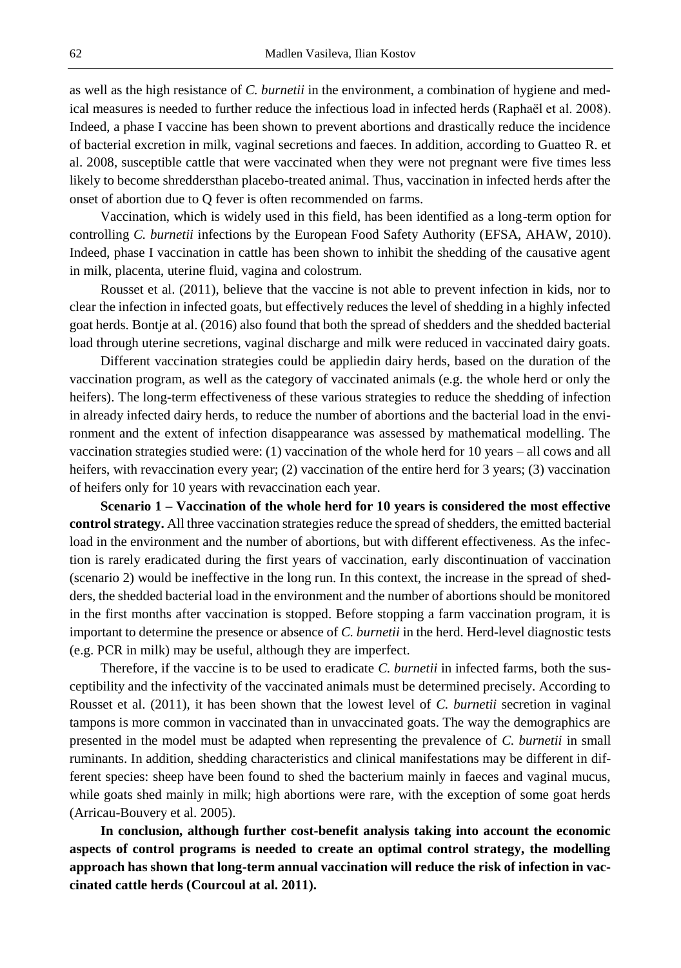as well as the high resistance of *C. burnetii* in the environment, a combination of hygiene and medical measures is needed to further reduce the infectious load in infected herds (Raphaël et al. 2008). Indeed, a phase I vaccine has been shown to prevent abortions and drastically reduce the incidence of bacterial excretion in milk, vaginal secretions and faeces. In addition, according to Guatteo R. et al. 2008, susceptible cattle that were vaccinated when they were not pregnant were five times less likely to become shreddersthan placebo-treated animal. Thus, vaccination in infected herds after the onset of abortion due to Q fever is often recommended on farms.

Vaccination, which is widely used in this field, has been identified as a long-term option for controlling *C. burnetii* infections by the European Food Safety Authority (EFSA, AHAW, 2010). Indeed, phase I vaccination in cattle has been shown to inhibit the shedding of the causative agent in milk, placenta, uterine fluid, vagina and colostrum.

Rousset et al. (2011), believe that the vaccine is not able to prevent infection in kids, nor to clear the infection in infected goats, but effectively reduces the level of shedding in a highly infected goat herds. Bontje at al. (2016) also found that both the spread of shedders and the shedded bacterial load through uterine secretions, vaginal discharge and milk were reduced in vaccinated dairy goats.

Different vaccination strategies could be appliedin dairy herds, based on the duration of the vaccination program, as well as the category of vaccinated animals (e.g. the whole herd or only the heifers). The long-term effectiveness of these various strategies to reduce the shedding of infection in already infected dairy herds, to reduce the number of abortions and the bacterial load in the environment and the extent of infection disappearance was assessed by mathematical modelling. The vaccination strategies studied were: (1) vaccination of the whole herd for 10 years – all cows and all heifers, with revaccination every year; (2) vaccination of the entire herd for 3 years; (3) vaccination of heifers only for 10 years with revaccination each year.

**Scenario 1 – Vaccination of the whole herd for 10 years is considered the most effective control strategy.** All three vaccination strategies reduce the spread of shedders, the emitted bacterial load in the environment and the number of abortions, but with different effectiveness. As the infection is rarely eradicated during the first years of vaccination, early discontinuation of vaccination (scenario 2) would be ineffective in the long run. In this context, the increase in the spread of shedders, the shedded bacterial load in the environment and the number of abortions should be monitored in the first months after vaccination is stopped. Before stopping a farm vaccination program, it is important to determine the presence or absence of *C. burnetii* in the herd. Herd-level diagnostic tests (e.g. PCR in milk) may be useful, although they are imperfect.

Therefore, if the vaccine is to be used to eradicate *C. burnetii* in infected farms, both the susceptibility and the infectivity of the vaccinated animals must be determined precisely. According to Rousset et al. (2011), it has been shown that the lowest level of *C. burnetii* secretion in vaginal tampons is more common in vaccinated than in unvaccinated goats. The way the demographics are presented in the model must be adapted when representing the prevalence of *C. burnetii* in small ruminants. In addition, shedding characteristics and clinical manifestations may be different in different species: sheep have been found to shed the bacterium mainly in faeces and vaginal mucus, while goats shed mainly in milk; high abortions were rare, with the exception of some goat herds (Arricau-Bouvery et al. 2005).

**In conclusion, although further cost-benefit analysis taking into account the economic aspects of control programs is needed to create an optimal control strategy, the modelling approach has shown that long-term annual vaccination will reduce the risk of infection in vaccinated cattle herds (Courcoul at al. 2011).**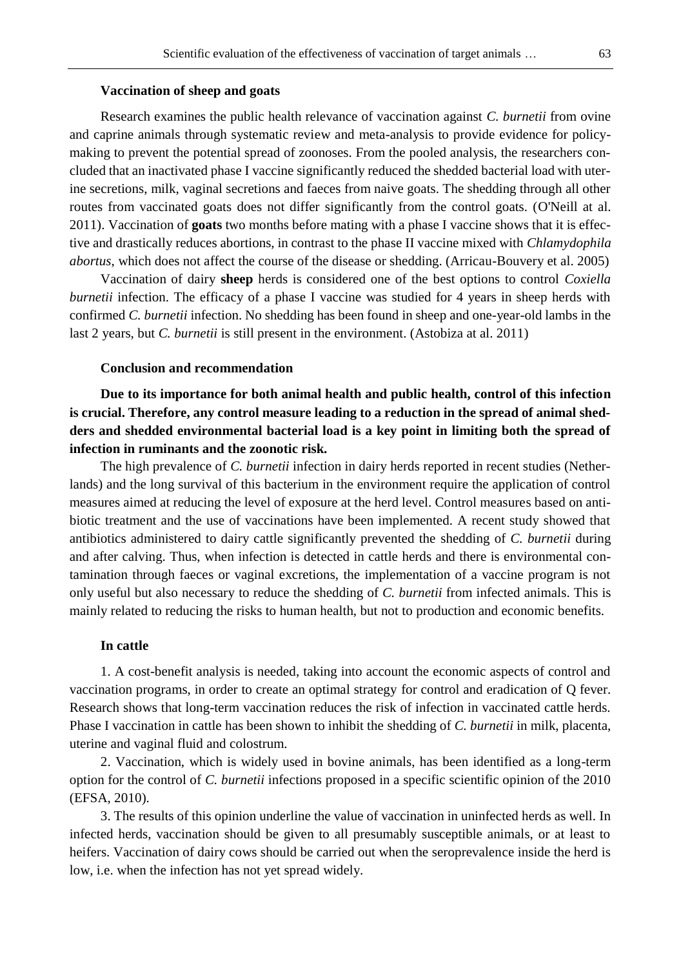## **Vaccination of sheep and goats**

Research examines the public health relevance of vaccination against *C. burnetii* from ovine and caprine animals through systematic review and meta-analysis to provide evidence for policymaking to prevent the potential spread of zoonoses. From the pooled analysis, the researchers concluded that an inactivated phase I vaccine significantly reduced the shedded bacterial load with uterine secretions, milk, vaginal secretions and faeces from naive goats. The shedding through all other routes from vaccinated goats does not differ significantly from the control goats. (O'Neill at al. 2011). Vaccination of **goats** two months before mating with a phase I vaccine shows that it is effective and drastically reduces abortions, in contrast to the phase II vaccine mixed with *Chlamydophila abortus*, which does not affect the course of the disease or shedding. (Arricau-Bouvery et al. 2005)

Vaccination of dairy **sheep** herds is considered one of the best options to control *Coxiella burnetii* infection. The efficacy of a phase I vaccine was studied for 4 years in sheep herds with confirmed *C. burnetii* infection. No shedding has been found in sheep and one-year-old lambs in the last 2 years, but *C. burnetii* is still present in the environment. (Astobiza at al. 2011)

### **Conclusion and recommendation**

**Due to its importance for both animal health and public health, control of this infection is crucial. Therefore, any control measure leading to a reduction in the spread of animal shedders and shedded environmental bacterial load is a key point in limiting both the spread of infection in ruminants and the zoonotic risk.**

The high prevalence of *C. burnetii* infection in dairy herds reported in recent studies (Netherlands) and the long survival of this bacterium in the environment require the application of control measures aimed at reducing the level of exposure at the herd level. Control measures based on antibiotic treatment and the use of vaccinations have been implemented. A recent study showed that antibiotics administered to dairy cattle significantly prevented the shedding of *C. burnetii* during and after calving. Thus, when infection is detected in cattle herds and there is environmental contamination through faeces or vaginal excretions, the implementation of a vaccine program is not only useful but also necessary to reduce the shedding of *C. burnetii* from infected animals. This is mainly related to reducing the risks to human health, but not to production and economic benefits.

### **In cattle**

1. A cost-benefit analysis is needed, taking into account the economic aspects of control and vaccination programs, in order to create an optimal strategy for control and eradication of Q fever. Research shows that long-term vaccination reduces the risk of infection in vaccinated cattle herds. Phase I vaccination in cattle has been shown to inhibit the shedding of *C. burnetii* in milk, placenta, uterine and vaginal fluid and colostrum.

2. Vaccination, which is widely used in bovine animals, has been identified as a long-term option for the control of *C. burnetii* infections proposed in a specific scientific opinion of the 2010 (EFSA, 2010).

3. The results of this opinion underline the value of vaccination in uninfected herds as well. In infected herds, vaccination should be given to all presumably susceptible animals, or at least to heifers. Vaccination of dairy cows should be carried out when the seroprevalence inside the herd is low, i.e. when the infection has not yet spread widely.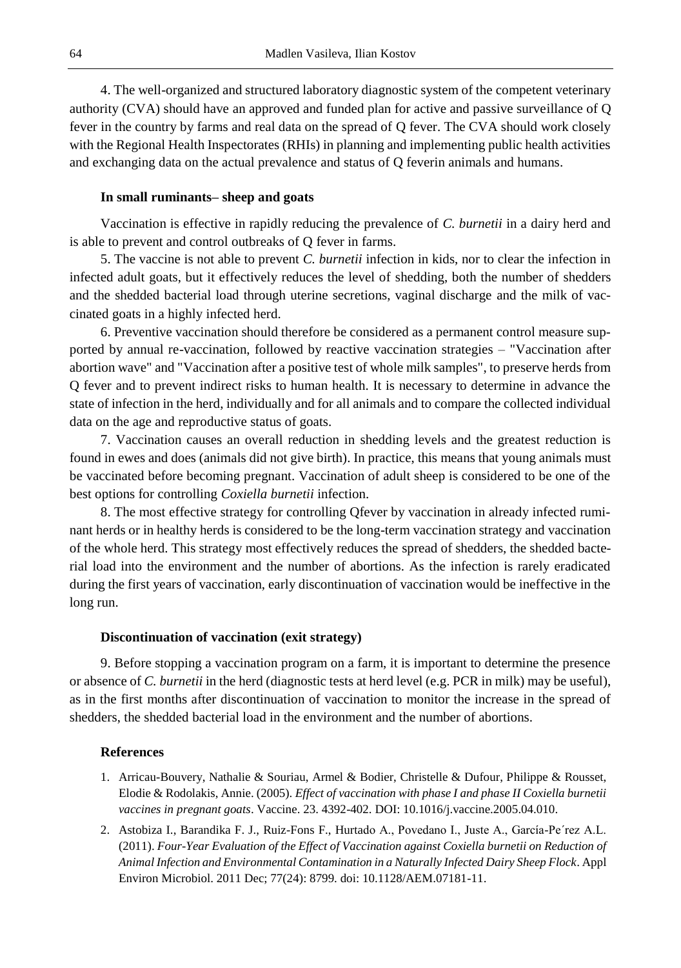4. The well-organized and structured laboratory diagnostic system of the competent veterinary authority (CVA) should have an approved and funded plan for active and passive surveillance of Q fever in the country by farms and real data on the spread of Q fever. The CVA should work closely with the Regional Health Inspectorates (RHIs) in planning and implementing public health activities and exchanging data on the actual prevalence and status of Q feverin animals and humans.

### **In small ruminants– sheep and goats**

Vaccination is effective in rapidly reducing the prevalence of *C. burnetii* in a dairy herd and is able to prevent and control outbreaks of Q fever in farms.

5. The vaccine is not able to prevent *C. burnetii* infection in kids, nor to clear the infection in infected adult goats, but it effectively reduces the level of shedding, both the number of shedders and the shedded bacterial load through uterine secretions, vaginal discharge and the milk of vaccinated goats in a highly infected herd.

6. Preventive vaccination should therefore be considered as a permanent control measure supported by annual re-vaccination, followed by reactive vaccination strategies – "Vaccination after abortion wave" and "Vaccination after a positive test of whole milk samples", to preserve herds from Q fever and to prevent indirect risks to human health. It is necessary to determine in advance the state of infection in the herd, individually and for all animals and to compare the collected individual data on the age and reproductive status of goats.

7. Vaccination causes an overall reduction in shedding levels and the greatest reduction is found in ewes and does (animals did not give birth). In practice, this means that young animals must be vaccinated before becoming pregnant. Vaccination of adult sheep is considered to be one of the best options for controlling *Coxiella burnetii* infection.

8. The most effective strategy for controlling Qfever by vaccination in already infected ruminant herds or in healthy herds is considered to be the long-term vaccination strategy and vaccination of the whole herd. This strategy most effectively reduces the spread of shedders, the shedded bacterial load into the environment and the number of abortions. As the infection is rarely eradicated during the first years of vaccination, early discontinuation of vaccination would be ineffective in the long run.

#### **Discontinuation of vaccination (exit strategy)**

9. Before stopping a vaccination program on a farm, it is important to determine the presence or absence of *C. burnetii* in the herd (diagnostic tests at herd level (e.g. PCR in milk) may be useful), as in the first months after discontinuation of vaccination to monitor the increase in the spread of shedders, the shedded bacterial load in the environment and the number of abortions.

### **References**

- 1. Arricau-Bouvery, Nathalie & Souriau, Armel & Bodier, Christelle & Dufour, Philippe & Rousset, Elodie & Rodolakis, Annie. (2005). *Effect of vaccination with phase I and phase II Coxiella burnetii vaccines in pregnant goats*. Vaccine. 23. 4392-402. DOI: 10.1016/j.vaccine.2005.04.010.
- 2. Astobiza I., Barandika F. J., Ruiz-Fons F., Hurtado A., Povedano I., Juste A., García-Pe´rez A.L. (2011). *Four-Year Evaluation of the Effect of Vaccination against Coxiella burnetii on Reduction of Animal Infection and Environmental Contamination in a Naturally Infected Dairy Sheep Flock*. Appl Environ Microbiol. 2011 Dec; 77(24): 8799. doi: 10.1128/AEM.07181-11.